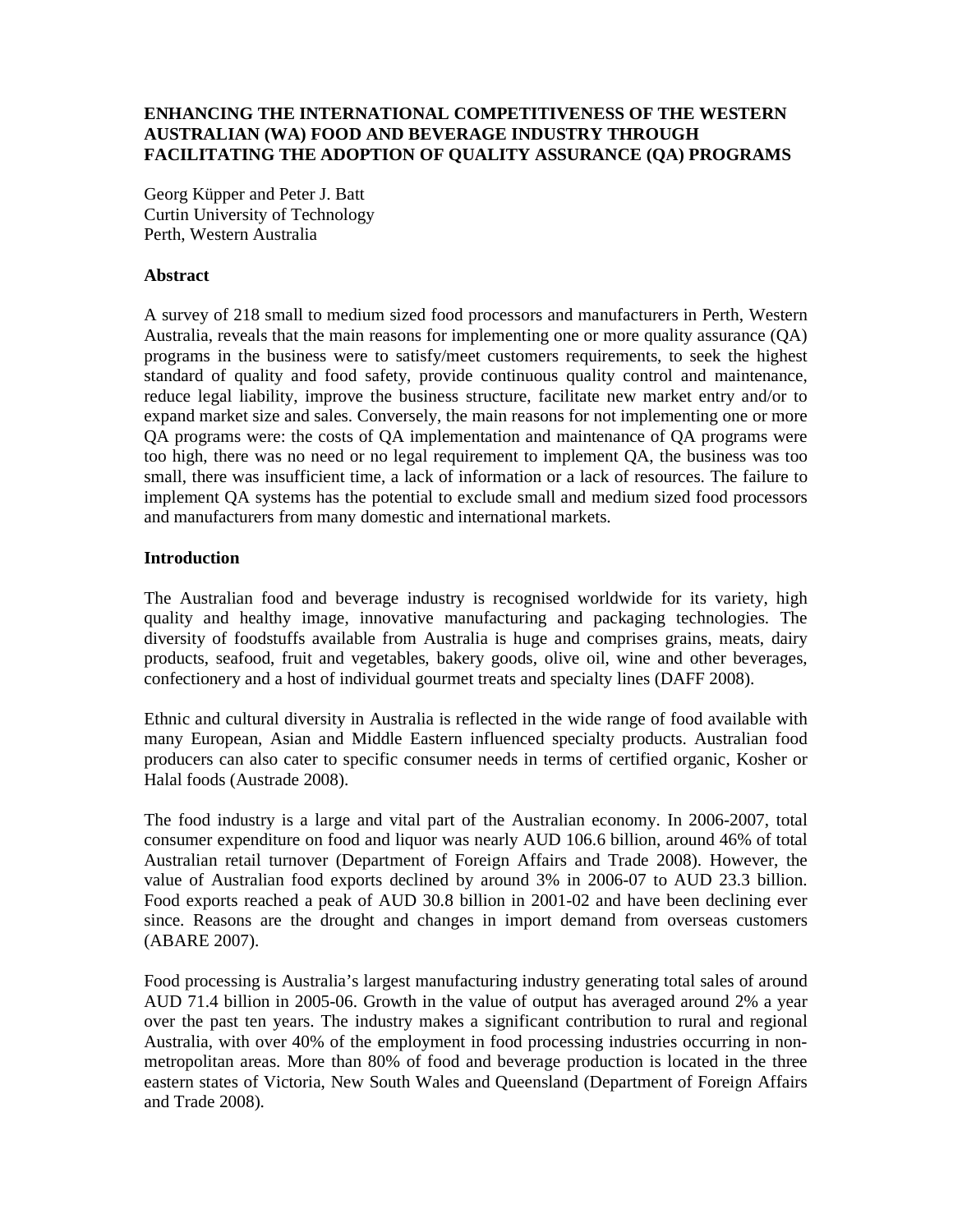## **ENHANCING THE INTERNATIONAL COMPETITIVENESS OF THE WESTERN AUSTRALIAN (WA) FOOD AND BEVERAGE INDUSTRY THROUGH FACILITATING THE ADOPTION OF QUALITY ASSURANCE (QA) PROGRAMS**

Georg Küpper and Peter J. Batt Curtin University of Technology Perth, Western Australia

## **Abstract**

A survey of 218 small to medium sized food processors and manufacturers in Perth, Western Australia, reveals that the main reasons for implementing one or more quality assurance (QA) programs in the business were to satisfy/meet customers requirements, to seek the highest standard of quality and food safety, provide continuous quality control and maintenance, reduce legal liability, improve the business structure, facilitate new market entry and/or to expand market size and sales. Conversely, the main reasons for not implementing one or more QA programs were: the costs of QA implementation and maintenance of QA programs were too high, there was no need or no legal requirement to implement QA, the business was too small, there was insufficient time, a lack of information or a lack of resources. The failure to implement QA systems has the potential to exclude small and medium sized food processors and manufacturers from many domestic and international markets.

## **Introduction**

The Australian food and beverage industry is recognised worldwide for its variety, high quality and healthy image, innovative manufacturing and packaging technologies. The diversity of foodstuffs available from Australia is huge and comprises grains, meats, dairy products, seafood, fruit and vegetables, bakery goods, olive oil, wine and other beverages, confectionery and a host of individual gourmet treats and specialty lines (DAFF 2008).

Ethnic and cultural diversity in Australia is reflected in the wide range of food available with many European, Asian and Middle Eastern influenced specialty products. Australian food producers can also cater to specific consumer needs in terms of certified organic, Kosher or Halal foods (Austrade 2008).

The food industry is a large and vital part of the Australian economy. In 2006-2007, total consumer expenditure on food and liquor was nearly AUD 106.6 billion, around 46% of total Australian retail turnover (Department of Foreign Affairs and Trade 2008). However, the value of Australian food exports declined by around 3% in 2006-07 to AUD 23.3 billion. Food exports reached a peak of AUD 30.8 billion in 2001-02 and have been declining ever since. Reasons are the drought and changes in import demand from overseas customers (ABARE 2007).

Food processing is Australia's largest manufacturing industry generating total sales of around AUD 71.4 billion in 2005-06. Growth in the value of output has averaged around 2% a year over the past ten years. The industry makes a significant contribution to rural and regional Australia, with over 40% of the employment in food processing industries occurring in nonmetropolitan areas. More than 80% of food and beverage production is located in the three eastern states of Victoria, New South Wales and Queensland (Department of Foreign Affairs and Trade 2008).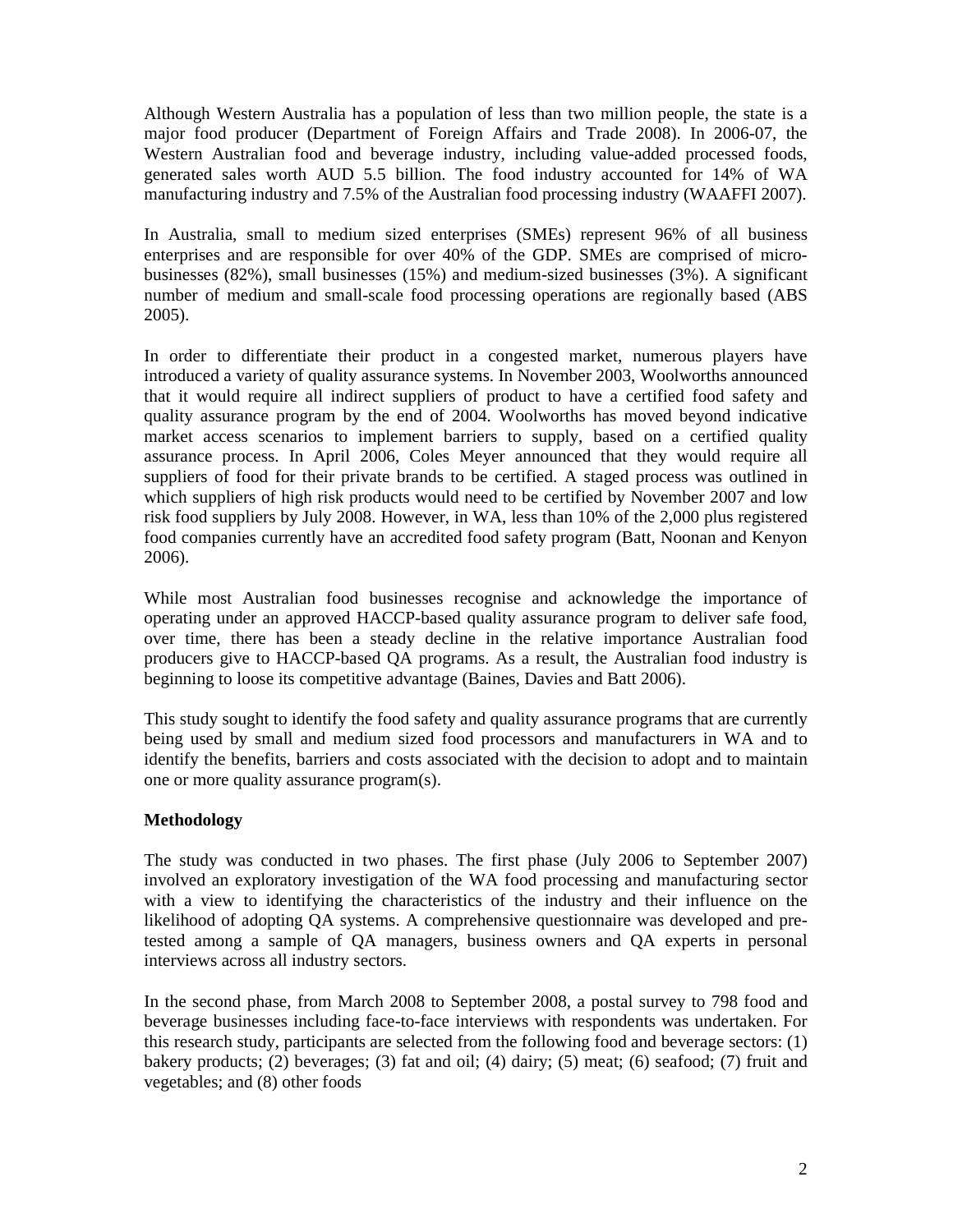Although Western Australia has a population of less than two million people, the state is a major food producer (Department of Foreign Affairs and Trade 2008). In 2006-07, the Western Australian food and beverage industry, including value-added processed foods, generated sales worth AUD 5.5 billion. The food industry accounted for 14% of WA manufacturing industry and 7.5% of the Australian food processing industry (WAAFFI 2007).

In Australia, small to medium sized enterprises (SMEs) represent 96% of all business enterprises and are responsible for over 40% of the GDP. SMEs are comprised of microbusinesses (82%), small businesses (15%) and medium-sized businesses (3%). A significant number of medium and small-scale food processing operations are regionally based (ABS 2005).

In order to differentiate their product in a congested market, numerous players have introduced a variety of quality assurance systems. In November 2003, Woolworths announced that it would require all indirect suppliers of product to have a certified food safety and quality assurance program by the end of 2004. Woolworths has moved beyond indicative market access scenarios to implement barriers to supply, based on a certified quality assurance process. In April 2006, Coles Meyer announced that they would require all suppliers of food for their private brands to be certified. A staged process was outlined in which suppliers of high risk products would need to be certified by November 2007 and low risk food suppliers by July 2008. However, in WA, less than 10% of the 2,000 plus registered food companies currently have an accredited food safety program (Batt, Noonan and Kenyon 2006).

While most Australian food businesses recognise and acknowledge the importance of operating under an approved HACCP-based quality assurance program to deliver safe food, over time, there has been a steady decline in the relative importance Australian food producers give to HACCP-based QA programs. As a result, the Australian food industry is beginning to loose its competitive advantage (Baines, Davies and Batt 2006).

This study sought to identify the food safety and quality assurance programs that are currently being used by small and medium sized food processors and manufacturers in WA and to identify the benefits, barriers and costs associated with the decision to adopt and to maintain one or more quality assurance program(s).

# **Methodology**

The study was conducted in two phases. The first phase (July 2006 to September 2007) involved an exploratory investigation of the WA food processing and manufacturing sector with a view to identifying the characteristics of the industry and their influence on the likelihood of adopting QA systems. A comprehensive questionnaire was developed and pretested among a sample of QA managers, business owners and QA experts in personal interviews across all industry sectors.

In the second phase, from March 2008 to September 2008, a postal survey to 798 food and beverage businesses including face-to-face interviews with respondents was undertaken. For this research study, participants are selected from the following food and beverage sectors: (1) bakery products; (2) beverages; (3) fat and oil; (4) dairy; (5) meat; (6) seafood; (7) fruit and vegetables; and (8) other foods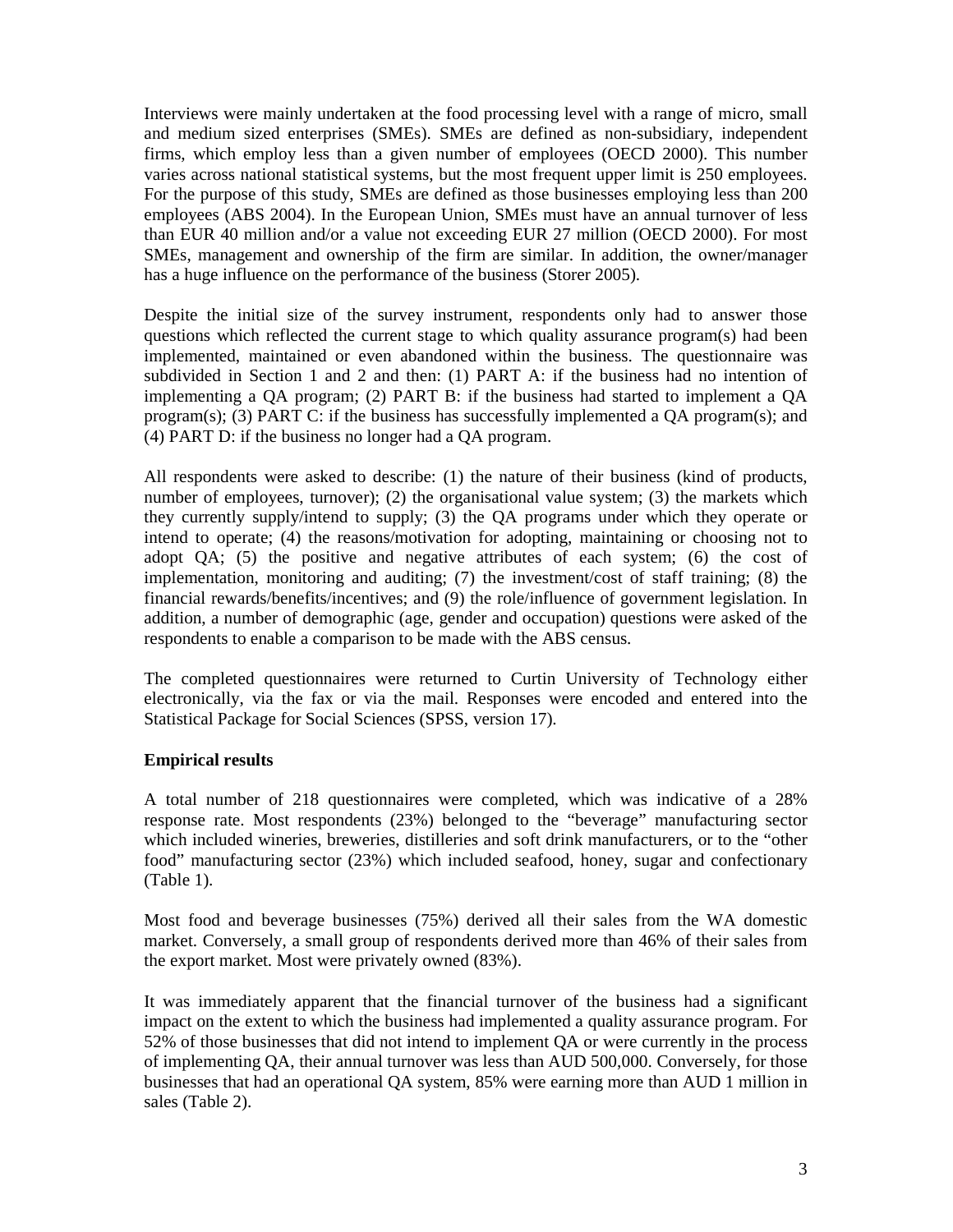Interviews were mainly undertaken at the food processing level with a range of micro, small and medium sized enterprises (SMEs). SMEs are defined as non-subsidiary, independent firms, which employ less than a given number of employees (OECD 2000). This number varies across national statistical systems, but the most frequent upper limit is 250 employees. For the purpose of this study, SMEs are defined as those businesses employing less than 200 employees (ABS 2004). In the European Union, SMEs must have an annual turnover of less than EUR 40 million and/or a value not exceeding EUR 27 million (OECD 2000). For most SMEs, management and ownership of the firm are similar. In addition, the owner/manager has a huge influence on the performance of the business (Storer 2005).

Despite the initial size of the survey instrument, respondents only had to answer those questions which reflected the current stage to which quality assurance program(s) had been implemented, maintained or even abandoned within the business. The questionnaire was subdivided in Section 1 and 2 and then: (1) PART A: if the business had no intention of implementing a QA program; (2) PART B: if the business had started to implement a QA program(s); (3) PART C: if the business has successfully implemented a QA program(s); and (4) PART D: if the business no longer had a QA program.

All respondents were asked to describe: (1) the nature of their business (kind of products, number of employees, turnover); (2) the organisational value system; (3) the markets which they currently supply/intend to supply; (3) the QA programs under which they operate or intend to operate; (4) the reasons/motivation for adopting, maintaining or choosing not to adopt QA; (5) the positive and negative attributes of each system; (6) the cost of implementation, monitoring and auditing; (7) the investment/cost of staff training; (8) the financial rewards/benefits/incentives; and (9) the role/influence of government legislation. In addition, a number of demographic (age, gender and occupation) questions were asked of the respondents to enable a comparison to be made with the ABS census.

The completed questionnaires were returned to Curtin University of Technology either electronically, via the fax or via the mail. Responses were encoded and entered into the Statistical Package for Social Sciences (SPSS, version 17).

# **Empirical results**

A total number of 218 questionnaires were completed, which was indicative of a 28% response rate. Most respondents (23%) belonged to the "beverage" manufacturing sector which included wineries, breweries, distilleries and soft drink manufacturers, or to the "other food" manufacturing sector (23%) which included seafood, honey, sugar and confectionary (Table 1).

Most food and beverage businesses (75%) derived all their sales from the WA domestic market. Conversely, a small group of respondents derived more than 46% of their sales from the export market. Most were privately owned (83%).

It was immediately apparent that the financial turnover of the business had a significant impact on the extent to which the business had implemented a quality assurance program. For 52% of those businesses that did not intend to implement QA or were currently in the process of implementing QA, their annual turnover was less than AUD 500,000. Conversely, for those businesses that had an operational QA system, 85% were earning more than AUD 1 million in sales (Table 2).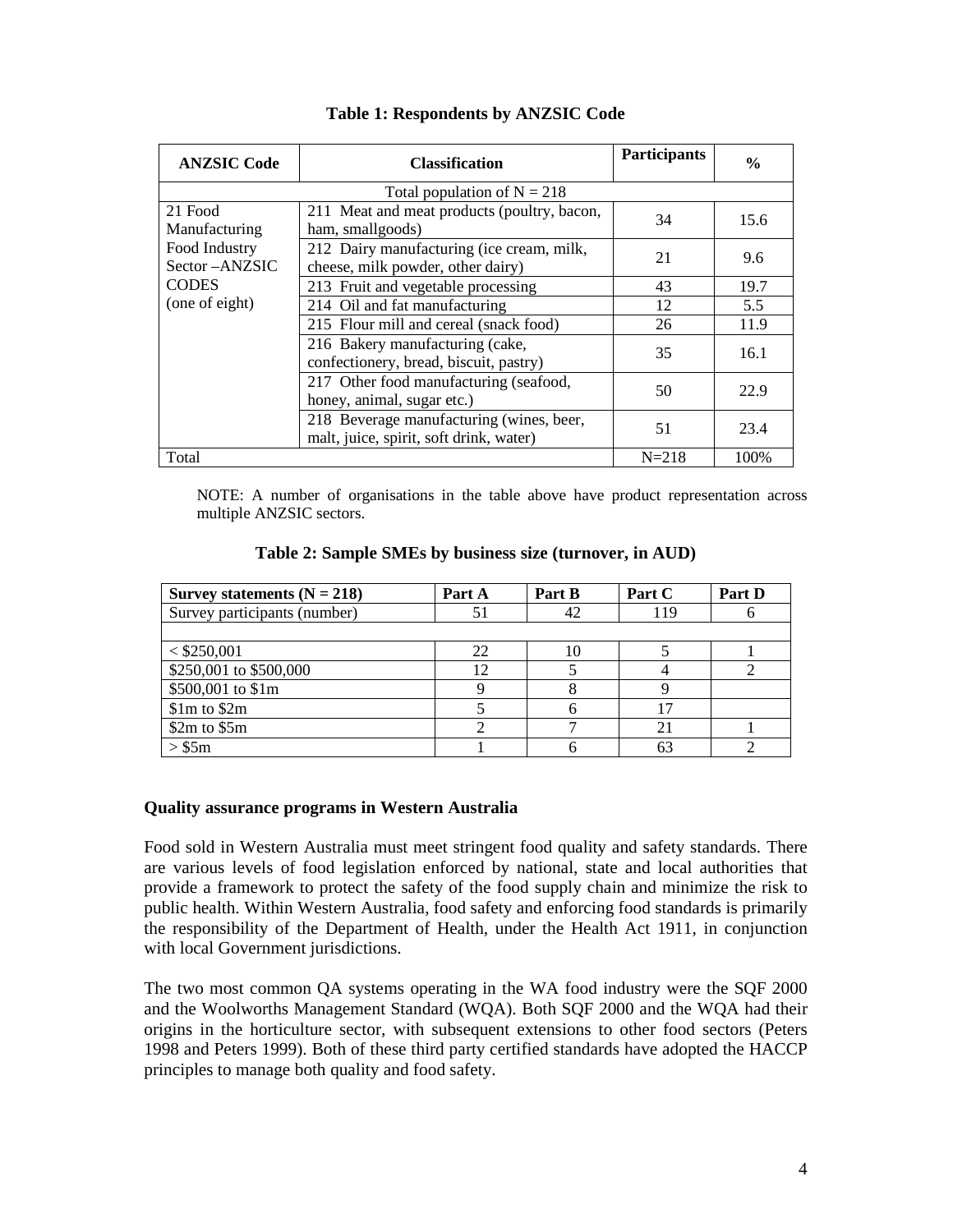| <b>ANZSIC Code</b>                                         | <b>Classification</b>                                                               | <b>Participants</b> | $\frac{0}{0}$ |  |  |
|------------------------------------------------------------|-------------------------------------------------------------------------------------|---------------------|---------------|--|--|
| Total population of $N = 218$                              |                                                                                     |                     |               |  |  |
| 21 Food<br>Manufacturing<br>Food Industry<br>Sector-ANZSIC | 211 Meat and meat products (poultry, bacon,<br>ham, smallgoods)                     | 34                  | 15.6          |  |  |
|                                                            | 212 Dairy manufacturing (ice cream, milk,<br>cheese, milk powder, other dairy)      | 21                  | 9.6           |  |  |
| <b>CODES</b>                                               | 213 Fruit and vegetable processing                                                  | 43                  | 19.7          |  |  |
| (one of eight)                                             | 214 Oil and fat manufacturing                                                       | 12                  | 5.5           |  |  |
|                                                            | 215 Flour mill and cereal (snack food)                                              | 26                  | 11.9          |  |  |
|                                                            | 216 Bakery manufacturing (cake,<br>confectionery, bread, biscuit, pastry)           | 35                  | 16.1          |  |  |
|                                                            | 217 Other food manufacturing (seafood,<br>honey, animal, sugar etc.)                | 50                  | 22.9          |  |  |
|                                                            | 218 Beverage manufacturing (wines, beer,<br>malt, juice, spirit, soft drink, water) | 51                  | 23.4          |  |  |
| Total                                                      |                                                                                     | $N = 218$           | 100%          |  |  |

## **Table 1: Respondents by ANZSIC Code**

NOTE: A number of organisations in the table above have product representation across multiple ANZSIC sectors.

#### **Table 2: Sample SMEs by business size (turnover, in AUD)**

| Survey statements $(N = 218)$ | Part A           | Part B | Part C | Part D |
|-------------------------------|------------------|--------|--------|--------|
| Survey participants (number)  | $\mathfrak{z}_1$ |        | 119    |        |
|                               |                  |        |        |        |
| $<$ \$250,001                 | 22               |        |        |        |
| \$250,001 to \$500,000        | 12               |        |        |        |
| \$500,001 to \$1m             |                  |        |        |        |
| $$1m$$ to $$2m$$              |                  |        | 17     |        |
| \$2m\$ to \$5m\$              |                  |        | 21     |        |
| > \$5m                        |                  |        | 63     |        |

#### **Quality assurance programs in Western Australia**

Food sold in Western Australia must meet stringent food quality and safety standards. There are various levels of food legislation enforced by national, state and local authorities that provide a framework to protect the safety of the food supply chain and minimize the risk to public health. Within Western Australia, food safety and enforcing food standards is primarily the responsibility of the Department of Health, under the Health Act 1911, in conjunction with local Government jurisdictions.

The two most common QA systems operating in the WA food industry were the SQF 2000 and the Woolworths Management Standard (WQA). Both SQF 2000 and the WQA had their origins in the horticulture sector, with subsequent extensions to other food sectors (Peters 1998 and Peters 1999). Both of these third party certified standards have adopted the HACCP principles to manage both quality and food safety.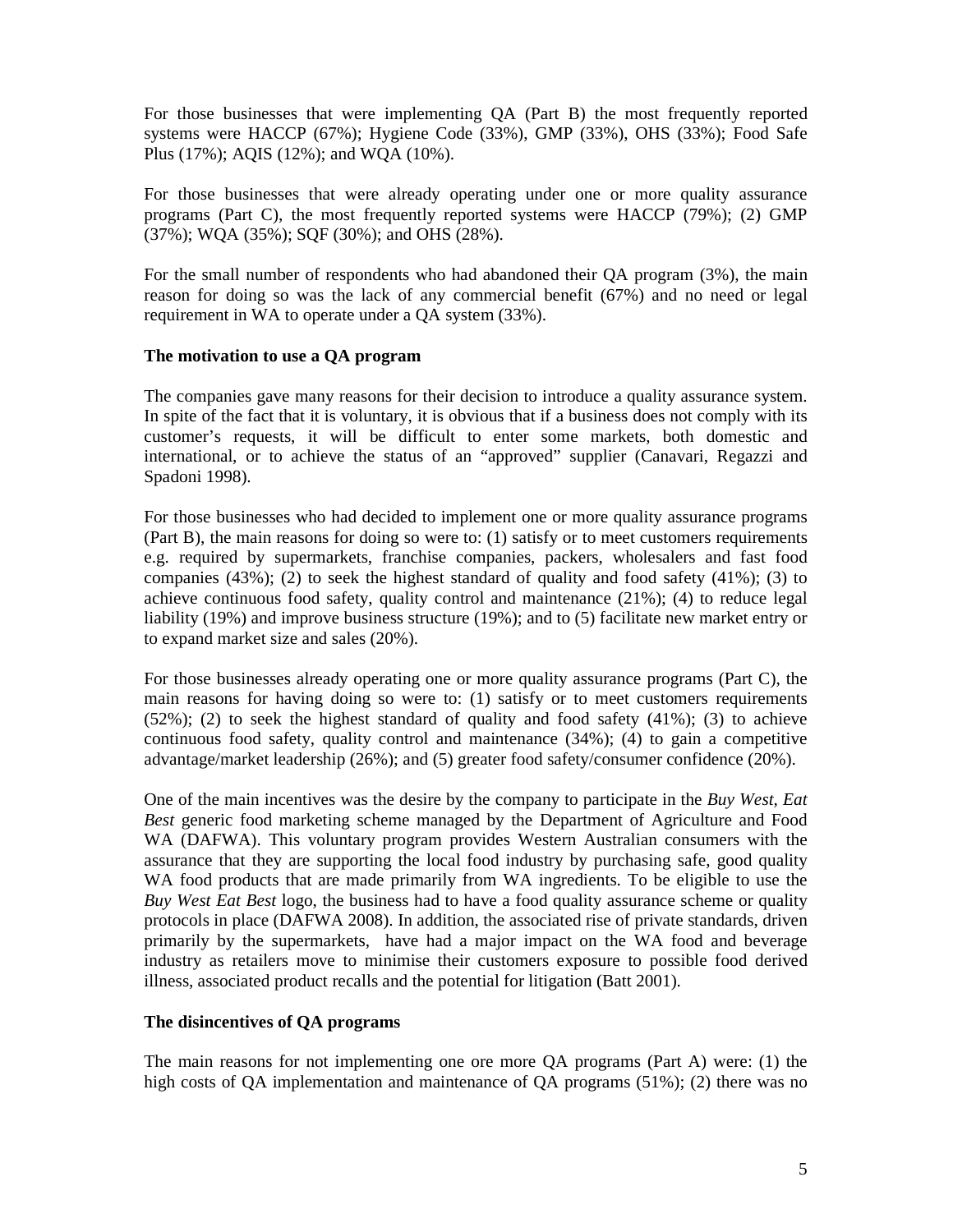For those businesses that were implementing QA (Part B) the most frequently reported systems were HACCP (67%); Hygiene Code (33%), GMP (33%), OHS (33%); Food Safe Plus (17%); AQIS (12%); and WQA (10%).

For those businesses that were already operating under one or more quality assurance programs (Part C), the most frequently reported systems were HACCP (79%); (2) GMP (37%); WQA (35%); SQF (30%); and OHS (28%).

For the small number of respondents who had abandoned their QA program (3%), the main reason for doing so was the lack of any commercial benefit (67%) and no need or legal requirement in WA to operate under a QA system (33%).

### **The motivation to use a QA program**

The companies gave many reasons for their decision to introduce a quality assurance system. In spite of the fact that it is voluntary, it is obvious that if a business does not comply with its customer's requests, it will be difficult to enter some markets, both domestic and international, or to achieve the status of an "approved" supplier (Canavari, Regazzi and Spadoni 1998).

For those businesses who had decided to implement one or more quality assurance programs (Part B), the main reasons for doing so were to: (1) satisfy or to meet customers requirements e.g. required by supermarkets, franchise companies, packers, wholesalers and fast food companies (43%); (2) to seek the highest standard of quality and food safety (41%); (3) to achieve continuous food safety, quality control and maintenance (21%); (4) to reduce legal liability (19%) and improve business structure (19%); and to (5) facilitate new market entry or to expand market size and sales (20%).

For those businesses already operating one or more quality assurance programs (Part C), the main reasons for having doing so were to: (1) satisfy or to meet customers requirements (52%); (2) to seek the highest standard of quality and food safety (41%); (3) to achieve continuous food safety, quality control and maintenance (34%); (4) to gain a competitive advantage/market leadership (26%); and (5) greater food safety/consumer confidence (20%).

One of the main incentives was the desire by the company to participate in the *Buy West, Eat Best* generic food marketing scheme managed by the Department of Agriculture and Food WA (DAFWA). This voluntary program provides Western Australian consumers with the assurance that they are supporting the local food industry by purchasing safe, good quality WA food products that are made primarily from WA ingredients. To be eligible to use the *Buy West Eat Best* logo, the business had to have a food quality assurance scheme or quality protocols in place (DAFWA 2008). In addition, the associated rise of private standards, driven primarily by the supermarkets, have had a major impact on the WA food and beverage industry as retailers move to minimise their customers exposure to possible food derived illness, associated product recalls and the potential for litigation (Batt 2001).

### **The disincentives of QA programs**

The main reasons for not implementing one ore more QA programs (Part A) were: (1) the high costs of OA implementation and maintenance of OA programs (51%); (2) there was no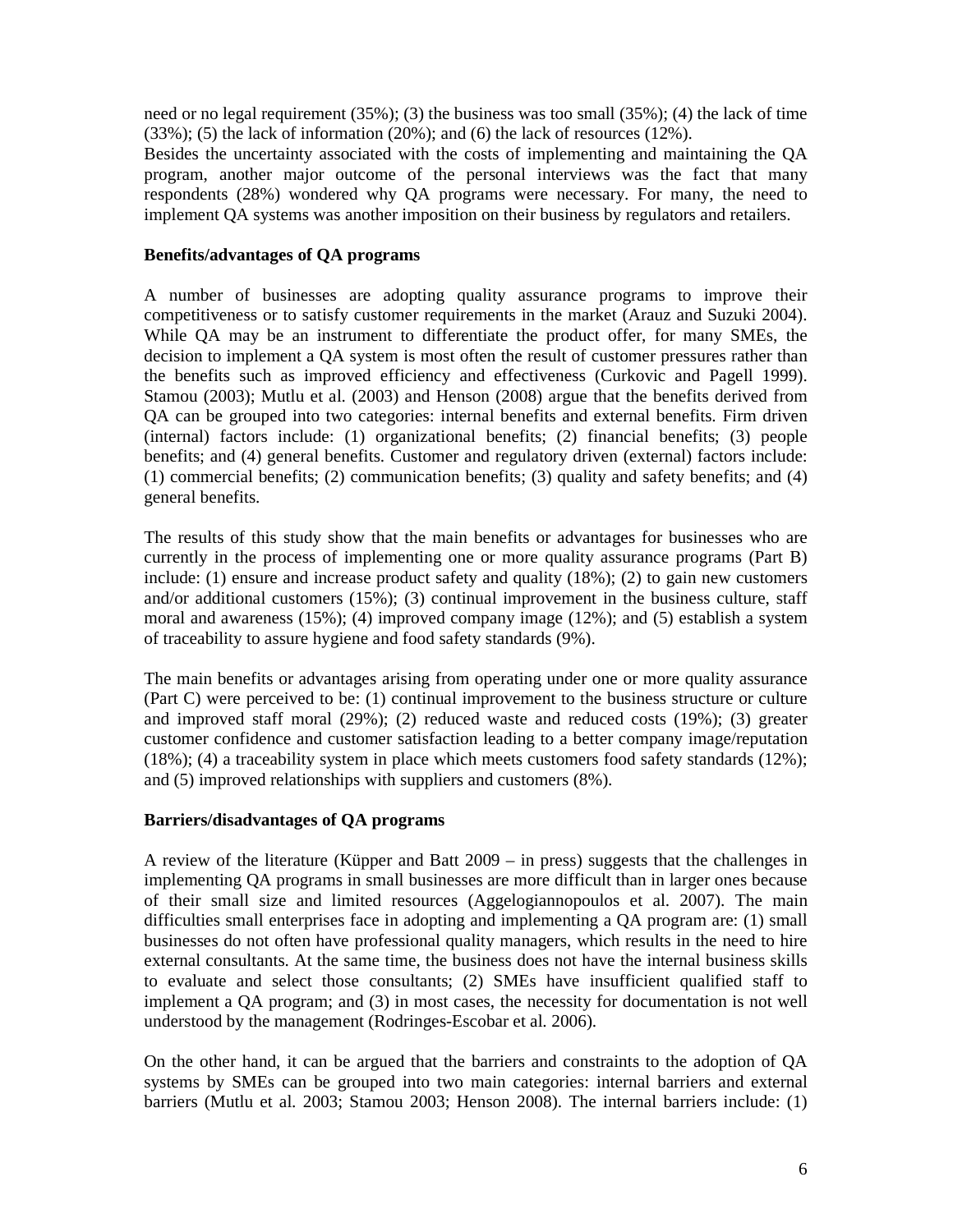need or no legal requirement  $(35\%)$ ; (3) the business was too small  $(35\%)$ ; (4) the lack of time (33%); (5) the lack of information (20%); and (6) the lack of resources (12%).

Besides the uncertainty associated with the costs of implementing and maintaining the QA program, another major outcome of the personal interviews was the fact that many respondents (28%) wondered why QA programs were necessary. For many, the need to implement QA systems was another imposition on their business by regulators and retailers.

## **Benefits/advantages of QA programs**

A number of businesses are adopting quality assurance programs to improve their competitiveness or to satisfy customer requirements in the market (Arauz and Suzuki 2004). While QA may be an instrument to differentiate the product offer, for many SMEs, the decision to implement a QA system is most often the result of customer pressures rather than the benefits such as improved efficiency and effectiveness (Curkovic and Pagell 1999). Stamou (2003); Mutlu et al. (2003) and Henson (2008) argue that the benefits derived from QA can be grouped into two categories: internal benefits and external benefits. Firm driven (internal) factors include: (1) organizational benefits; (2) financial benefits; (3) people benefits; and (4) general benefits. Customer and regulatory driven (external) factors include: (1) commercial benefits; (2) communication benefits; (3) quality and safety benefits; and (4) general benefits.

The results of this study show that the main benefits or advantages for businesses who are currently in the process of implementing one or more quality assurance programs (Part B) include: (1) ensure and increase product safety and quality (18%); (2) to gain new customers and/or additional customers (15%); (3) continual improvement in the business culture, staff moral and awareness (15%); (4) improved company image (12%); and (5) establish a system of traceability to assure hygiene and food safety standards (9%).

The main benefits or advantages arising from operating under one or more quality assurance (Part C) were perceived to be: (1) continual improvement to the business structure or culture and improved staff moral (29%); (2) reduced waste and reduced costs (19%); (3) greater customer confidence and customer satisfaction leading to a better company image/reputation (18%); (4) a traceability system in place which meets customers food safety standards (12%); and (5) improved relationships with suppliers and customers (8%).

# **Barriers/disadvantages of QA programs**

A review of the literature (Küpper and Batt 2009 – in press) suggests that the challenges in implementing QA programs in small businesses are more difficult than in larger ones because of their small size and limited resources (Aggelogiannopoulos et al. 2007). The main difficulties small enterprises face in adopting and implementing a QA program are: (1) small businesses do not often have professional quality managers, which results in the need to hire external consultants. At the same time, the business does not have the internal business skills to evaluate and select those consultants; (2) SMEs have insufficient qualified staff to implement a QA program; and (3) in most cases, the necessity for documentation is not well understood by the management (Rodringes-Escobar et al. 2006).

On the other hand, it can be argued that the barriers and constraints to the adoption of QA systems by SMEs can be grouped into two main categories: internal barriers and external barriers (Mutlu et al. 2003; Stamou 2003; Henson 2008). The internal barriers include: (1)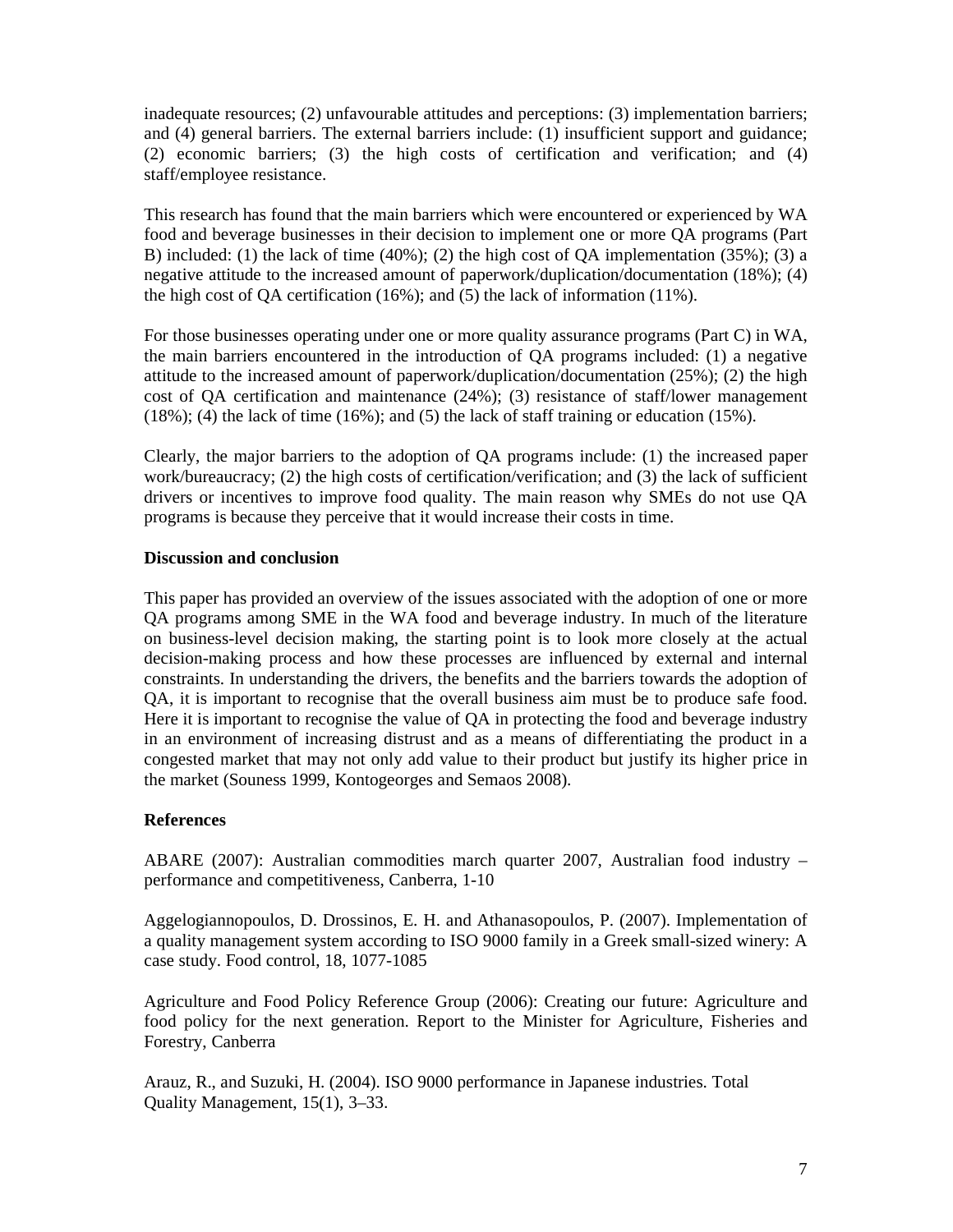inadequate resources; (2) unfavourable attitudes and perceptions: (3) implementation barriers; and (4) general barriers. The external barriers include: (1) insufficient support and guidance; (2) economic barriers; (3) the high costs of certification and verification; and (4) staff/employee resistance.

This research has found that the main barriers which were encountered or experienced by WA food and beverage businesses in their decision to implement one or more QA programs (Part B) included: (1) the lack of time (40%); (2) the high cost of QA implementation (35%); (3) a negative attitude to the increased amount of paperwork/duplication/documentation (18%); (4) the high cost of QA certification (16%); and (5) the lack of information (11%).

For those businesses operating under one or more quality assurance programs (Part C) in WA, the main barriers encountered in the introduction of QA programs included: (1) a negative attitude to the increased amount of paperwork/duplication/documentation (25%); (2) the high cost of QA certification and maintenance (24%); (3) resistance of staff/lower management  $(18\%)$ ; (4) the lack of time (16%); and (5) the lack of staff training or education (15%).

Clearly, the major barriers to the adoption of QA programs include: (1) the increased paper work/bureaucracy; (2) the high costs of certification/verification; and (3) the lack of sufficient drivers or incentives to improve food quality. The main reason why SMEs do not use QA programs is because they perceive that it would increase their costs in time.

## **Discussion and conclusion**

This paper has provided an overview of the issues associated with the adoption of one or more QA programs among SME in the WA food and beverage industry. In much of the literature on business-level decision making, the starting point is to look more closely at the actual decision-making process and how these processes are influenced by external and internal constraints. In understanding the drivers, the benefits and the barriers towards the adoption of QA, it is important to recognise that the overall business aim must be to produce safe food. Here it is important to recognise the value of QA in protecting the food and beverage industry in an environment of increasing distrust and as a means of differentiating the product in a congested market that may not only add value to their product but justify its higher price in the market (Souness 1999, Kontogeorges and Semaos 2008).

# **References**

ABARE (2007): Australian commodities march quarter 2007, Australian food industry – performance and competitiveness, Canberra, 1-10

Aggelogiannopoulos, D. Drossinos, E. H. and Athanasopoulos, P. (2007). Implementation of a quality management system according to ISO 9000 family in a Greek small-sized winery: A case study. Food control, 18, 1077-1085

Agriculture and Food Policy Reference Group (2006): Creating our future: Agriculture and food policy for the next generation. Report to the Minister for Agriculture, Fisheries and Forestry, Canberra

Arauz, R., and Suzuki, H. (2004). ISO 9000 performance in Japanese industries. Total Quality Management, 15(1), 3–33.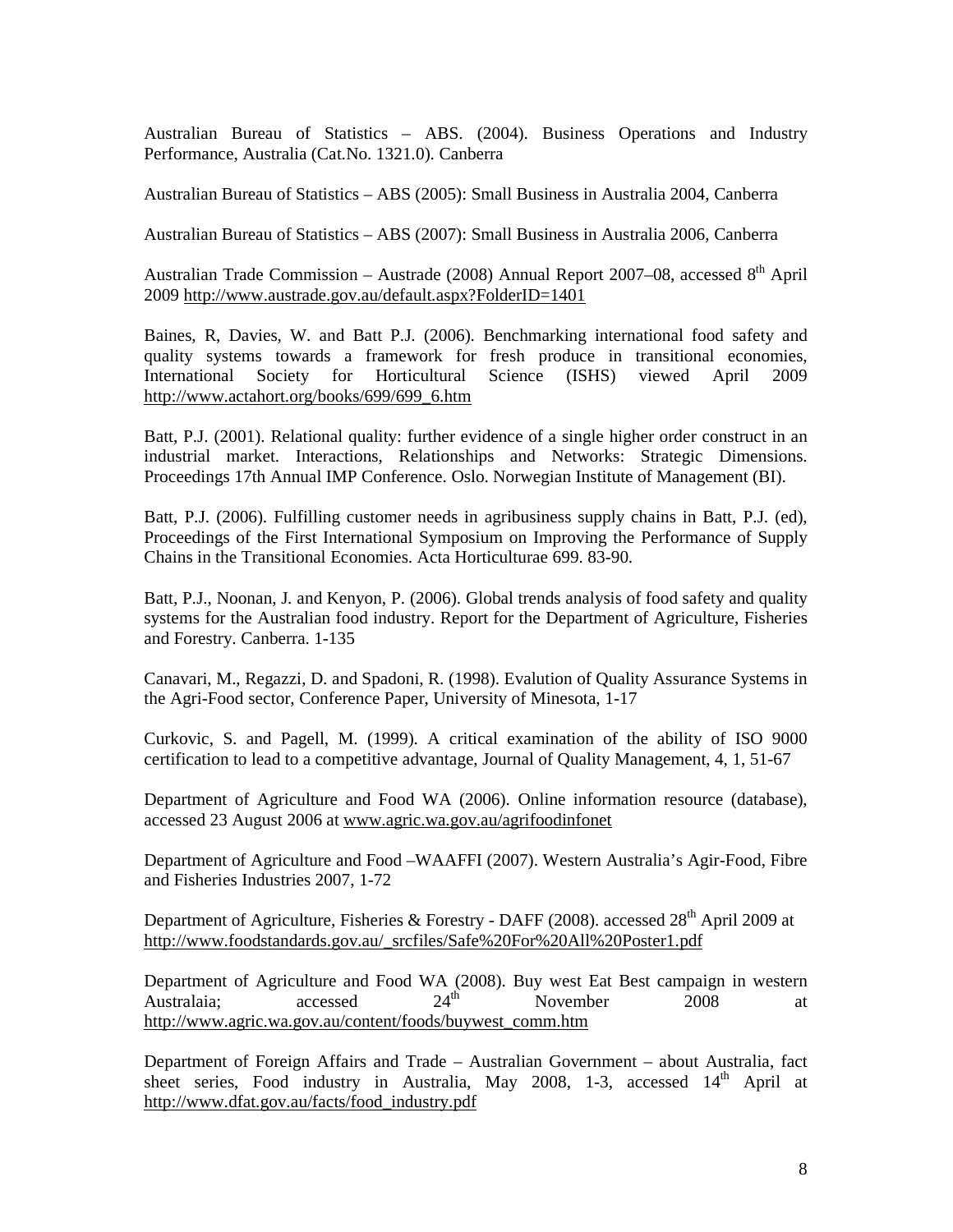Australian Bureau of Statistics – ABS. (2004). Business Operations and Industry Performance, Australia (Cat.No. 1321.0). Canberra

Australian Bureau of Statistics – ABS (2005): Small Business in Australia 2004, Canberra

Australian Bureau of Statistics – ABS (2007): Small Business in Australia 2006, Canberra

Australian Trade Commission – Austrade (2008) Annual Report 2007–08, accessed  $8<sup>th</sup>$  April 2009 http://www.austrade.gov.au/default.aspx?FolderID=1401

Baines, R, Davies, W. and Batt P.J. (2006). Benchmarking international food safety and quality systems towards a framework for fresh produce in transitional economies, International Society for Horticultural Science (ISHS) viewed April 2009 http://www.actahort.org/books/699/699\_6.htm

Batt, P.J. (2001). Relational quality: further evidence of a single higher order construct in an industrial market. Interactions, Relationships and Networks: Strategic Dimensions. Proceedings 17th Annual IMP Conference. Oslo. Norwegian Institute of Management (BI).

Batt, P.J. (2006). Fulfilling customer needs in agribusiness supply chains in Batt, P.J. (ed), Proceedings of the First International Symposium on Improving the Performance of Supply Chains in the Transitional Economies. Acta Horticulturae 699. 83-90.

Batt, P.J., Noonan, J. and Kenyon, P. (2006). Global trends analysis of food safety and quality systems for the Australian food industry. Report for the Department of Agriculture, Fisheries and Forestry. Canberra. 1-135

Canavari, M., Regazzi, D. and Spadoni, R. (1998). Evalution of Quality Assurance Systems in the Agri-Food sector, Conference Paper, University of Minesota, 1-17

Curkovic, S. and Pagell, M. (1999). A critical examination of the ability of ISO 9000 certification to lead to a competitive advantage, Journal of Quality Management, 4, 1, 51-67

Department of Agriculture and Food WA (2006). Online information resource (database), accessed 23 August 2006 at www.agric.wa.gov.au/agrifoodinfonet

Department of Agriculture and Food –WAAFFI (2007). Western Australia's Agir-Food, Fibre and Fisheries Industries 2007, 1-72

Department of Agriculture, Fisheries & Forestry - DAFF (2008). accessed 28<sup>th</sup> April 2009 at http://www.foodstandards.gov.au/\_srcfiles/Safe%20For%20All%20Poster1.pdf

Department of Agriculture and Food WA (2008). Buy west Eat Best campaign in western Australaia;  $\overline{24}$  accessed  $24$ <sup>th</sup> November 2008 at http://www.agric.wa.gov.au/content/foods/buywest\_comm.htm

Department of Foreign Affairs and Trade – Australian Government – about Australia, fact sheet series, Food industry in Australia, May  $2008$ , 1-3, accessed  $14<sup>th</sup>$  April at http://www.dfat.gov.au/facts/food\_industry.pdf